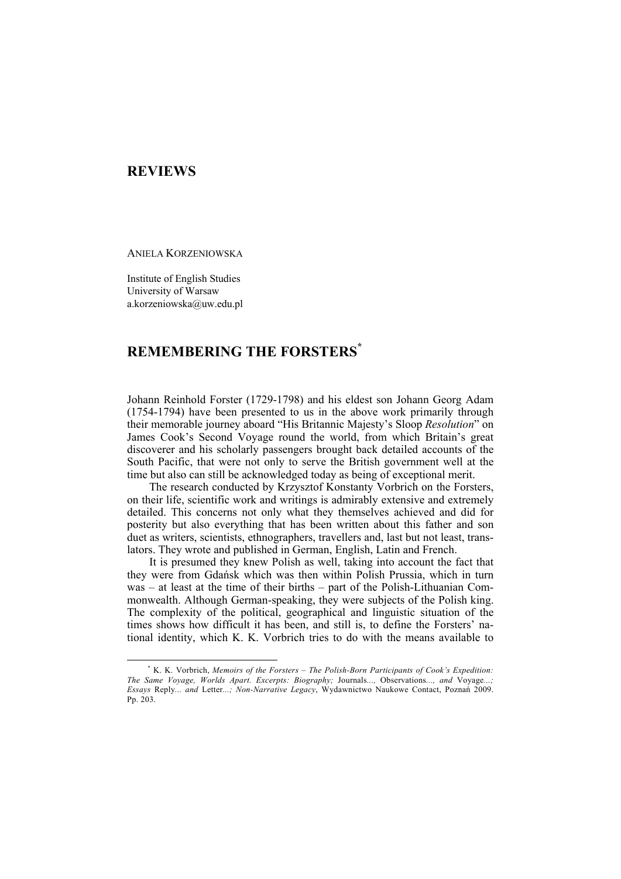## **REVIEWS**

ANIELA KORZENIOWSKA

Institute of English Studies University of Warsaw a.korzeniowska@uw.edu.pl

## **REMEMBERING THE FORSTERS\***

Johann Reinhold Forster (1729-1798) and his eldest son Johann Georg Adam (1754-1794) have been presented to us in the above work primarily through their memorable journey aboard "His Britannic Majesty's Sloop *Resolution*" on James Cook's Second Voyage round the world, from which Britain's great discoverer and his scholarly passengers brought back detailed accounts of the South Pacific, that were not only to serve the British government well at the time but also can still be acknowledged today as being of exceptional merit.

The research conducted by Krzysztof Konstanty Vorbrich on the Forsters, on their life, scientific work and writings is admirably extensive and extremely detailed. This concerns not only what they themselves achieved and did for posterity but also everything that has been written about this father and son duet as writers, scientists, ethnographers, travellers and, last but not least, translators. They wrote and published in German, English, Latin and French.

It is presumed they knew Polish as well, taking into account the fact that they were from Gdańsk which was then within Polish Prussia, which in turn was – at least at the time of their births – part of the Polish-Lithuanian Commonwealth. Although German-speaking, they were subjects of the Polish king. The complexity of the political, geographical and linguistic situation of the times shows how difficult it has been, and still is, to define the Forsters' national identity, which K. K. Vorbrich tries to do with the means available to

 $\overline{\phantom{a}}$  K. K. Vorbrich, *Memoirs of the Forsters – The Polish-Born Participants of Cook's Expedition: The Same Voyage, Worlds Apart. Excerpts: Biography;* Journals*...,* Observations*..., and* Voyage*...; Essays* Reply*... and* Letter*...; Non-Narrative Legacy*, Wydawnictwo Naukowe Contact, Poznań 2009. Pp. 203.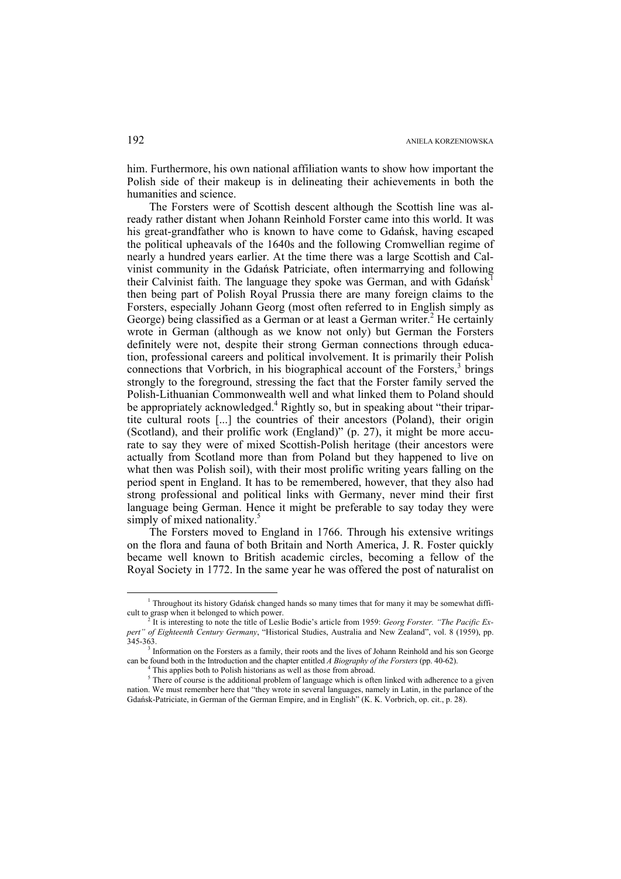him. Furthermore, his own national affiliation wants to show how important the Polish side of their makeup is in delineating their achievements in both the humanities and science.

The Forsters were of Scottish descent although the Scottish line was already rather distant when Johann Reinhold Forster came into this world. It was his great-grandfather who is known to have come to Gdańsk, having escaped the political upheavals of the 1640s and the following Cromwellian regime of nearly a hundred years earlier. At the time there was a large Scottish and Calvinist community in the Gdańsk Patriciate, often intermarrying and following their Calvinist faith. The language they spoke was German, and with  $Gdańsk<sup>1</sup>$ then being part of Polish Royal Prussia there are many foreign claims to the Forsters, especially Johann Georg (most often referred to in English simply as George) being classified as a German or at least a German writer.<sup>2</sup> He certainly wrote in German (although as we know not only) but German the Forsters definitely were not, despite their strong German connections through education, professional careers and political involvement. It is primarily their Polish connections that Vorbrich, in his biographical account of the Forsters, $3$  brings strongly to the foreground, stressing the fact that the Forster family served the Polish-Lithuanian Commonwealth well and what linked them to Poland should be appropriately acknowledged.<sup>4</sup> Rightly so, but in speaking about "their tripartite cultural roots [...] the countries of their ancestors (Poland), their origin (Scotland), and their prolific work (England)" (p. 27), it might be more accurate to say they were of mixed Scottish-Polish heritage (their ancestors were actually from Scotland more than from Poland but they happened to live on what then was Polish soil), with their most prolific writing years falling on the period spent in England. It has to be remembered, however, that they also had strong professional and political links with Germany, never mind their first language being German. Hence it might be preferable to say today they were simply of mixed nationality.<sup>5</sup>

The Forsters moved to England in 1766. Through his extensive writings on the flora and fauna of both Britain and North America, J. R. Foster quickly became well known to British academic circles, becoming a fellow of the Royal Society in 1772. In the same year he was offered the post of naturalist on

 $\frac{1}{1}$ <sup>1</sup> Throughout its history Gdańsk changed hands so many times that for many it may be somewhat difficult to grasp when it belonged to which power.

It is interesting to note the title of Leslie Bodie's article from 1959: *Georg Forster. "The Pacific Expert" of Eighteenth Century Germany*, "Historical Studies, Australia and New Zealand", vol. 8 (1959), pp. 345-363. 3

Information on the Forsters as a family, their roots and the lives of Johann Reinhold and his son George can be found both in the Introduction and the chapter entitled *A Biography of the Forsters* (pp. 40-62). 4

<sup>&</sup>lt;sup>4</sup> This applies both to Polish historians as well as those from abroad.

 $<sup>5</sup>$  There of course is the additional problem of language which is often linked with adherence to a given</sup> nation. We must remember here that "they wrote in several languages, namely in Latin, in the parlance of the Gdańsk-Patriciate, in German of the German Empire, and in English" (K. K. Vorbrich, op. cit., p. 28).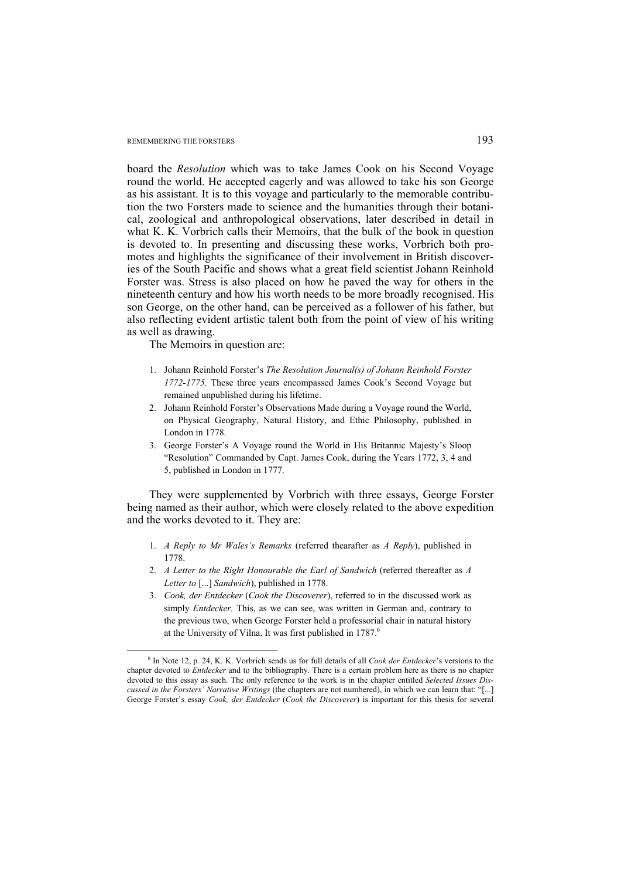## REMEMBERING THE FORSTERS **193**

board the *Resolution* which was to take James Cook on his Second Voyage round the world. He accepted eagerly and was allowed to take his son George as his assistant. It is to this voyage and particularly to the memorable contribution the two Forsters made to science and the humanities through their botanical, zoological and anthropological observations, later described in detail in what K. K. Vorbrich calls their Memoirs, that the bulk of the book in question is devoted to. In presenting and discussing these works, Vorbrich both promotes and highlights the significance of their involvement in British discoveries of the South Pacific and shows what a great field scientist Johann Reinhold Forster was. Stress is also placed on how he paved the way for others in the nineteenth century and how his worth needs to be more broadly recognised. His son George, on the other hand, can be perceived as a follower of his father, but also reflecting evident artistic talent both from the point of view of his writing as well as drawing.

The Memoirs in question are:

- 1. Johann Reinhold Forster's *The Resolution Journal(s) of Johann Reinhold Forster 1772-1775.* These three years encompassed James Cook's Second Voyage but remained unpublished during his lifetime.
- 2. Johann Reinhold Forster's Observations Made during a Voyage round the World, on Physical Geography, Natural History, and Ethic Philosophy, published in London in 1778.
- 3. George Forster's A Voyage round the World in His Britannic Majesty's Sloop "Resolution" Commanded by Capt. James Cook, during the Years 1772, 3, 4 and 5, published in London in 1777.

They were supplemented by Vorbrich with three essays, George Forster being named as their author, which were closely related to the above expedition and the works devoted to it. They are:

- 1. *A Reply to Mr Wales's Remarks* (referred thearafter as *A Reply*), published in 1778.
- 2. *A Letter to the Right Honourable the Earl of Sandwich* (referred thereafter as *A Letter to* [...] *Sandwich*), published in 1778.
- 3. *Cook, der Entdecker* (*Cook the Discoverer*), referred to in the discussed work as simply *Entdecker.* This, as we can see, was written in German and, contrary to the previous two, when George Forster held a professorial chair in natural history at the University of Vilna. It was first published in 1787.<sup>6</sup>

 <sup>6</sup> <sup>6</sup> In Note 12, p. 24, K. K. Vorbrich sends us for full details of all *Cook der Entdecker*'s versions to the chapter devoted to *Entdecker* and to the bibliography. There is a certain problem here as there is no chapter devoted to this essay as such. The only reference to the work is in the chapter entitled *Selected Issues Discussed in the Forsters' Narrative Writings* (the chapters are not numbered), in which we can learn that: "[...] George Forster's essay *Cook, der Entdecker* (*Cook the Discoverer*) is important for this thesis for several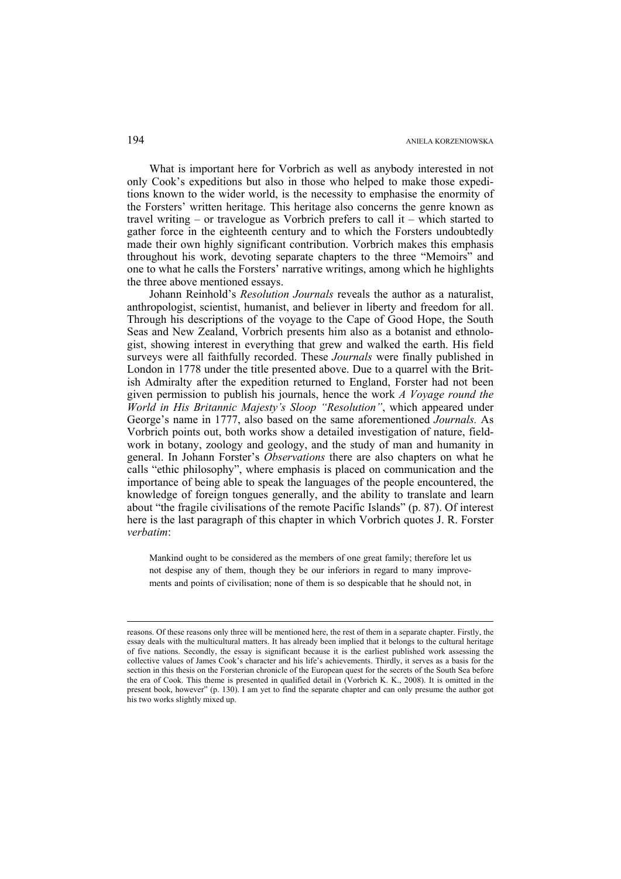What is important here for Vorbrich as well as anybody interested in not only Cook's expeditions but also in those who helped to make those expeditions known to the wider world, is the necessity to emphasise the enormity of the Forsters' written heritage. This heritage also concerns the genre known as travel writing – or travelogue as Vorbrich prefers to call it – which started to gather force in the eighteenth century and to which the Forsters undoubtedly made their own highly significant contribution. Vorbrich makes this emphasis throughout his work, devoting separate chapters to the three "Memoirs" and one to what he calls the Forsters' narrative writings, among which he highlights the three above mentioned essays.

Johann Reinhold's *Resolution Journals* reveals the author as a naturalist, anthropologist, scientist, humanist, and believer in liberty and freedom for all. Through his descriptions of the voyage to the Cape of Good Hope, the South Seas and New Zealand, Vorbrich presents him also as a botanist and ethnologist, showing interest in everything that grew and walked the earth. His field surveys were all faithfully recorded. These *Journals* were finally published in London in 1778 under the title presented above. Due to a quarrel with the British Admiralty after the expedition returned to England, Forster had not been given permission to publish his journals, hence the work *A Voyage round the World in His Britannic Majesty's Sloop "Resolution"*, which appeared under George's name in 1777, also based on the same aforementioned *Journals.* As Vorbrich points out, both works show a detailed investigation of nature, fieldwork in botany, zoology and geology, and the study of man and humanity in general. In Johann Forster's *Observations* there are also chapters on what he calls "ethic philosophy", where emphasis is placed on communication and the importance of being able to speak the languages of the people encountered, the knowledge of foreign tongues generally, and the ability to translate and learn about "the fragile civilisations of the remote Pacific Islands" (p. 87). Of interest here is the last paragraph of this chapter in which Vorbrich quotes J. R. Forster *verbatim*:

Mankind ought to be considered as the members of one great family; therefore let us not despise any of them, though they be our inferiors in regard to many improvements and points of civilisation; none of them is so despicable that he should not, in

1

reasons. Of these reasons only three will be mentioned here, the rest of them in a separate chapter. Firstly, the essay deals with the multicultural matters. It has already been implied that it belongs to the cultural heritage of five nations. Secondly, the essay is significant because it is the earliest published work assessing the collective values of James Cook's character and his life's achievements. Thirdly, it serves as a basis for the section in this thesis on the Forsterian chronicle of the European quest for the secrets of the South Sea before the era of Cook. This theme is presented in qualified detail in (Vorbrich K. K., 2008). It is omitted in the present book, however" (p. 130). I am yet to find the separate chapter and can only presume the author got his two works slightly mixed up.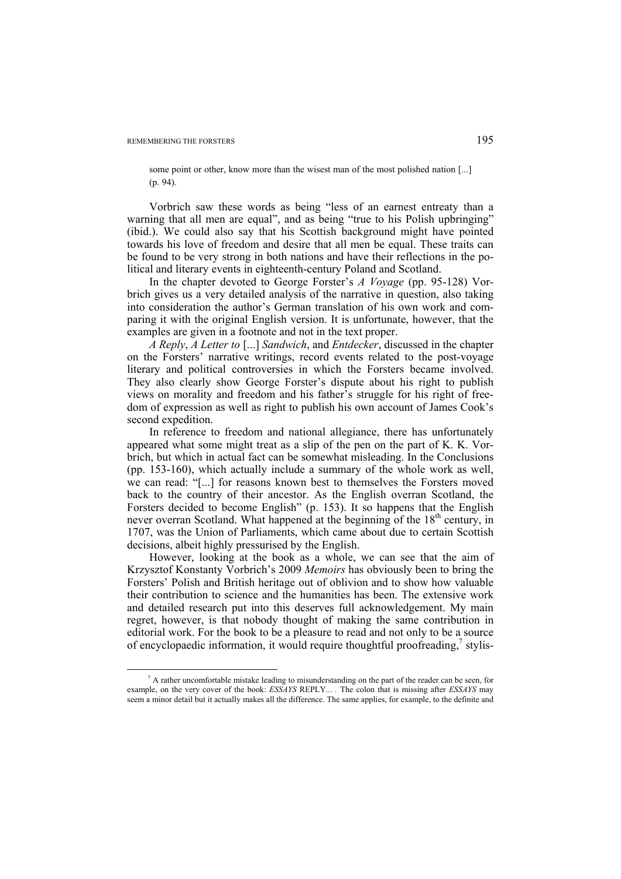some point or other, know more than the wisest man of the most polished nation [...] (p. 94).

Vorbrich saw these words as being "less of an earnest entreaty than a warning that all men are equal", and as being "true to his Polish upbringing" (ibid.). We could also say that his Scottish background might have pointed towards his love of freedom and desire that all men be equal. These traits can be found to be very strong in both nations and have their reflections in the political and literary events in eighteenth-century Poland and Scotland.

In the chapter devoted to George Forster's *A Voyage* (pp. 95-128) Vorbrich gives us a very detailed analysis of the narrative in question, also taking into consideration the author's German translation of his own work and comparing it with the original English version. It is unfortunate, however, that the examples are given in a footnote and not in the text proper.

*A Reply*, *A Letter to* [...] *Sandwich*, and *Entdecker*, discussed in the chapter on the Forsters' narrative writings, record events related to the post-voyage literary and political controversies in which the Forsters became involved. They also clearly show George Forster's dispute about his right to publish views on morality and freedom and his father's struggle for his right of freedom of expression as well as right to publish his own account of James Cook's second expedition.

In reference to freedom and national allegiance, there has unfortunately appeared what some might treat as a slip of the pen on the part of K. K. Vorbrich, but which in actual fact can be somewhat misleading. In the Conclusions (pp. 153-160), which actually include a summary of the whole work as well, we can read: "[...] for reasons known best to themselves the Forsters moved back to the country of their ancestor. As the English overran Scotland, the Forsters decided to become English" (p. 153). It so happens that the English never overran Scotland. What happened at the beginning of the  $18<sup>th</sup>$  century, in 1707, was the Union of Parliaments, which came about due to certain Scottish decisions, albeit highly pressurised by the English.

However, looking at the book as a whole, we can see that the aim of Krzysztof Konstanty Vorbrich's 2009 *Memoirs* has obviously been to bring the Forsters' Polish and British heritage out of oblivion and to show how valuable their contribution to science and the humanities has been. The extensive work and detailed research put into this deserves full acknowledgement. My main regret, however, is that nobody thought of making the same contribution in editorial work. For the book to be a pleasure to read and not only to be a source of encyclopaedic information, it would require thoughtful proofreading,<sup>7</sup> stylis-

 $\frac{1}{7}$  $\alpha$  A rather uncomfortable mistake leading to misunderstanding on the part of the reader can be seen, for example, on the very cover of the book: *ESSAYS* REPLY... *.* The colon that is missing after *ESSAYS* may seem a minor detail but it actually makes all the difference. The same applies, for example, to the definite and